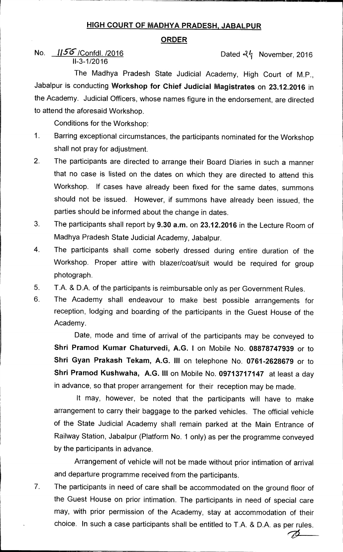## **HIGH COURT OF MADHYA PRADESH, JABALPUR**

## **ORDER**

## No.  $\frac{1156}{2016}$  Dated  $\frac{2016}{2016}$ 11-3-1/2016

The Madhya Pradesh State Judicial Academy, High Court of M.P., Jabalpur is conducting **Workshop for Chief Judicial Magistrates** on **23.12.2016** in the Academy. Judicial Officers, whose names figure in the endorsement, are directed to attend the aforesaid Workshop.

Conditions for the Workshop:

- 1. Barring exceptional circumstances, the participants nominated for the Workshop shall not pray for adjustment.
- 2. The participants are directed to arrange their Board Diaries in such a manner that no case is listed on the dates on which they are directed to attend this Workshop. If cases have already been fixed for the same dates, summons should not be issued. However, if summons have already been issued, the parties should be informed about the change in dates.
- 3. The participants shall report by **9.30 a.m.** on **23.12.2016** in the Lecture Room of Madhya Pradesh State Judicial Academy, Jabalpur.
- 4. The participants shall come soberly dressed during entire duration of the Workshop. Proper attire with blazer/coat/suit would be required for group photograph.
- 5. T.A. & D.A. of the participants is reimbursable only as per Government Rules.
- 6. The Academy shall endeavour to make best possible arrangements for reception, lodging and boarding of the participants in the Guest House of the Academy.

Date, mode and time of arrival of the participants may be conveyed to **Shri Pramod Kumar Chaturvedi, A.G. I** on Mobile No. **08878747939** or to **Shri Gyan Prakash Tekam, A.G. III** on telephone No. **0761-2628679** or to **Shri Pramod Kushwaha, A.G. III** on Mobile No. **09713717147** at least a day in advance, so that proper arrangement for their reception may be made.

It may, however, be noted that the participants will have to make arrangement to carry their baggage to the parked vehicles. The official vehicle of the State Judicial Academy shall remain parked at the Main Entrance of Railway Station, Jabalpur (Platform No. 1 only) as per the programme conveyed by the participants in advance.

Arrangement of vehicle will not be made without prior intimation of arrival and departure programme received from the participants.

Þ

7. The participants in need of care shall be accommodated on the ground floor of the Guest House on prior intimation. The participants in need of special care may, with prior permission of the Academy, stay at accommodation of their choice. In such a case participants shall be entitled to T.A. & D.A. as per rules.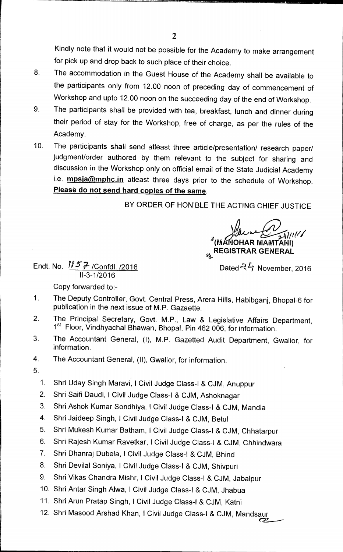Kindly note that it would not be possible for the Academy to make arrangement for pick up and drop back to such place of their choice.

- 8. The accommodation in the Guest House of the Academy shall be available to the participants only from 12.00 noon of preceding day of commencement of Workshop and upto 12.00 noon on the succeeding day of the end of Workshop.
- 9. The participants shall be provided with tea, breakfast, lunch and dinner during their period of stay for the Workshop, free of charge, as per the rules of the Academy.
- 10. The participants shall send atleast three article/presentation/ research paper/ judgment/order authored by them relevant to the subject for sharing and discussion in the Workshop only on official email of the State Judicial Academy i.e. **mpsja@mphc.in** atleast three days prior to the schedule of Workshop. **Please do not send hard copies of the same.**

**BY ORDER OF HON'BLE THE ACTING CHIEF JUSTICE** 

**Gt4** 

**' (M OHAR IVIAIVITANI) REGISTRAR GENERAL** 

**Endt. No.**  $\sqrt{57}$  /Confdl. /2016 **buying the United Club Contract Only 10 Dated <sup>QL</sup>/ November, 2016 11-3-1/2016** 

Copy forwarded to:-

- 1. The Deputy Controller, Govt. Central Press, Arera Hills, Habibganj, Bhopal-6 for publication in the next issue of M.P. Gazaette.
- 2. The Principal Secretary, Govt. M.P., Law & Legislative Affairs Department, 1<sup>st</sup> Floor, Vindhyachal Bhawan, Bhopal, Pin 462 006, for information.
- 3. The Accountant General, (I), M.P. Gazetted Audit Department, Gwalior, for information.
- 4. The Accountant General, (II), Gwalior, for information.
- 5.
	- 1. Shri Uday Singh Maravi, I Civil Judge Class-I & CJM, Anuppur
	- 2. Shri Saifi Daudi, **I** Civil Judge Class-I & CJM, Ashoknagar
	- 3. Shri Ashok Kumar Sondhiya, I Civil Judge Class-I & CJM, Mandla
	- 4. Shri Jaideep Singh, I Civil Judge Class-I & CJM, Betul
	- 5. Shri Mukesh Kumar Batham, I Civil Judge Class-I & CJM, Chhatarpur
	- 6. Shri Rajesh Kumar Ravetkar, I Civil Judge Class-I & CJM, Chhindwara
	- 7. Shri Dhanraj Dubela, I Civil Judge Class-I & CJM, Bhind
	- 8. Shri Devilal Soniya, I Civil Judge Class-I & CJM, Shivpuri
	- 9. Shri Vikas Chandra Mishr, I Civil Judge Class-I & CJM, Jabalpur
	- 10. Shri Antar Singh Alwa, I Civil Judge Class-I & CJM, Jhabua
	- 11. Shri Arun Pratap Singh, I Civil Judge Class-I & CJM, Katni
	- 12. Shri Masood Arshad Khan, I Civil Judge Class-I & CJM, Mandsaur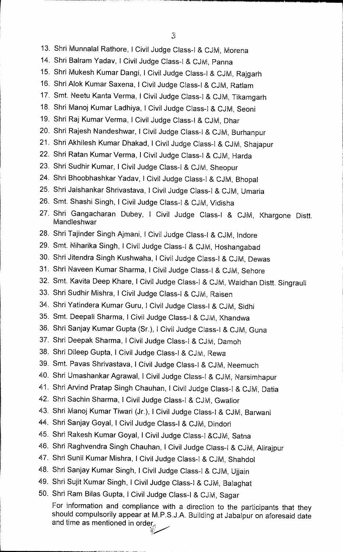- 13. Shri Munnalal Rathore, I Civil Judge Class-1 & CJM, Morena
- 14. Shri Balram Yadav, 1 Civil Judge Class-I & CJM, Panna
- 15. Shri Mukesh Kumar Dangi, I Civil Judge Class-I & CJM, Rajgarh
- 16. Shri Alok Kumar Saxena, I Civil Judge Class-I & CJM, Ratlam
- 17. Smt. Neetu Kanta Verma, 1 Civil Judge Class-1 & CJM, Tikamgarh
- 18. Shri Manoj Kumar Ladhiya, I Civil Judge Class-I & CJM, Seoni
- 19. Shri Raj Kumar Verma, I Civil Judge Class-I & CJM, Dhar
- 20. Shri Rajesh Nandeshwar, I Civil Judge Class-I & CJM, Burhanpur
- 21. Shri Akhilesh Kumar Dhakad, !Civil Judge Class-1 & CJM, Shajapur
- 22. Shri Ratan Kumar Verma, I Civil Judge Class-I & CJM, Harda
- 23. Shri Sudhir Kumar, I Civil Judge Class-1 & CJM, Sheopur
- 24. Shri Bhoobhashkar Yadav, !Civil Judge Class-1 & CJM, Bhopal
- 25. Shri Jaishankar Shrivastava, I Civil Judge Class-I & CJM, Umaria
- 26. Smt. Shashi Singh, 1 Civil Judge Class-I & CJM, Vidisha
- 27. Shri Gangacharan Dubey, I Civil Judge Class-I & CJM, Khargone Distt. Nandleshwar
- 28. Shri Tajinder Singh Ajmani, I Civil Judge Class-I & CJM, Indore
- 29. Smt. Niharika Singh, I Civil Judge Class-I & CJM, Hoshangabad
- 30. Shri Jitendra Singh Kushwaha, !Civil Judge Class-i & CJM, Dewas
- 31. Shri Naveen Kumar Sharma, I Civil Judge Class-I & CJM, Sehore
- 32. Smt. Kavita Deep Khare, 1 Civil Judge Class-I & CJM, Waidhan Distt. Singrauli
- 33. Shri Sudhir Mishra, 1 Civil Judge Class-1 & CJM, Raisen
- 34. Shri Yatindera Kumar Guru, 1 Civil Judge Class-I & CJM, Sidhi
- 35. Smt. Deepali Sharma, I Civil Judge Class-I & CJM, Khandwa
- 36. Shri Sanjay Kumar Gupta (Sr.), I Civil Judge Class-I & CJM, Guna
- 37. Shri Deepak Sharma, I Civil Judge Class-1 & CJM, Damoh
- 38. Shri Dileep Gupta, I Civil Judge Class-I & CJM, Rewa
- 39. Smt. Pavas Shrivastava, I Civil Judge Class-I & CJM, Neemuch
- 40. Shri Umashankar Agrawal, 1 Civil Judge Class-I & CJM, Narsimhapur
- 41. Shri Arvind Pratap Singh Chauhan, I Civil Judge Class-1 & CJM, Datia
- 42. Shri Sachin Sharma, I Civil Judge Class-I & CJM, Gwalior
- 43. Shri Manoj Kumar Tiwari (Jr.), I Civil Judge Class-I & CJM, Barwani
- 44. Shri Sanjay Goyal, I Civil Judge Class-I & CJM, Dindori
- 45. Shri Rakesh Kumar Goyal, I Civil Judge Class-1 &CJM, Satna
- 46. Shri Raghvendra Singh Chauhan, I Civil Judge Class-! & CJM, Alirajpur
- 47. Shri Sunil Kumar Mishra, 1 Civil Judge Class-1 & CJM, Shahdol
- 48. Shri Sanjay Kumar Singh, I Civil Judge Class-1 & CJM, Ujjain
- 49. Shri Sujit Kumar Singh, I Civil Judge Class-I & CJM, Balaghat
- 50. Shri Ram Bilas Gupta, 1 Civil Judge Class-1 & CJM, Sagar

For information and compliance with a direction to the participants that they should compulsorily appear at M.P.S.J.A. Building at Jabalpur on aforesaid date and time as mentioned in order,